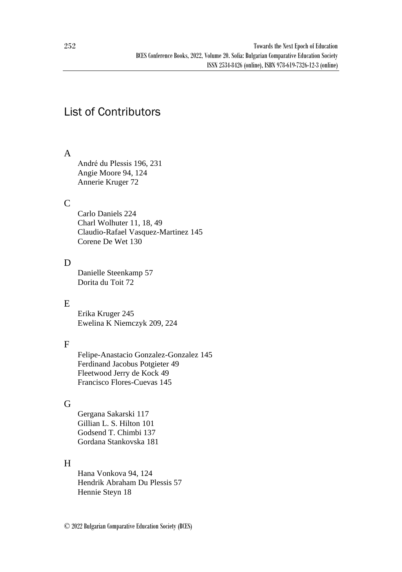# List of Contributors

### A

André du Plessis 196, 231 Angie Moore 94, 124 Annerie Kruger 72

### $\mathcal{C}$

Carlo Daniels 224 Charl Wolhuter 11, 18, 49 Claudio-Rafael Vasquez-Martinez 145 Corene De Wet 130

### D

Danielle Steenkamp 57 Dorita du Toit 72

# E

Erika Kruger 245 Ewelina K Niemczyk 209, 224

# F

Felipe-Anastacio Gonzalez-Gonzalez 145 Ferdinand Jacobus Potgieter 49 Fleetwood Jerry de Kock 49 Francisco Flores-Cuevas 145

# G

Gergana Sakarski 117 Gillian L. S. Hilton 101 Godsend T. Chimbi 137 Gordana Stankovska 181

# H

Hana Vonkova 94, 124 Hendrik Abraham Du Plessis 57 Hennie Steyn 18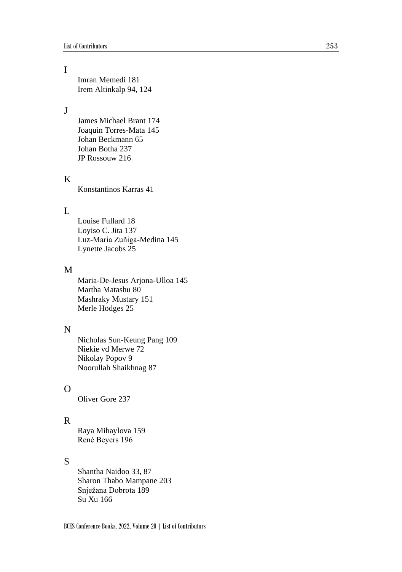# I

Imran Memedi 181 Irem Altinkalp 94, 124

### $\mathbf{I}$

James Michael Brant 174 Joaquin Torres-Mata 145 Johan Beckmann 65 Johan Botha 237 JP Rossouw 216

#### K

Konstantinos Karras 41

#### $\mathbf{L}$

Louise Fullard 18 Loyiso C. Jita 137 Luz-Maria Zuñiga-Medina 145 Lynette Jacobs 25

#### M

Maria-De-Jesus Arjona-Ulloa 145 Martha Matashu 80 Mashraky Mustary 151 Merle Hodges 25

### N

Nicholas Sun-Keung Pang 109 Niekie vd Merwe 72 Nikolay Popov 9 Noorullah Shaikhnag 87

### $\Omega$

Oliver Gore 237

#### R

Raya Mihaylova 159 René Beyers 196

#### S

Shantha Naidoo 33, 87 Sharon Thabo Mampane 203 Snježana Dobrota 189 Su Xu 166

BCES Conference Books, 2022, Volume 20 | List of Contributors